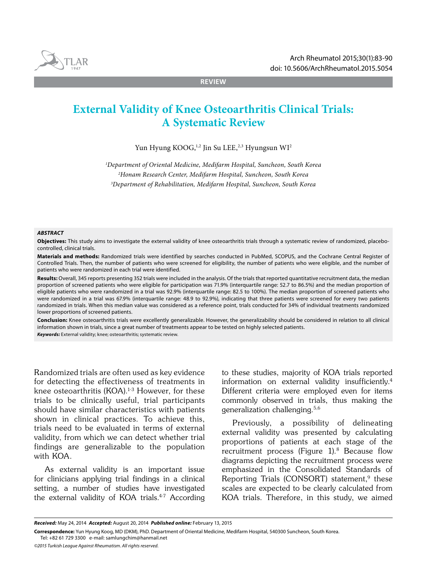

**REVIEW**

# **External Validity of Knee Osteoarthritis Clinical Trials: A Systematic Review**

Yun Hyung KOOG,<sup>1,2</sup> Jin Su LEE,<sup>2,3</sup> Hyungsun WI<sup>2</sup>

*1 Department of Oriental Medicine, Medifarm Hospital, Suncheon, South Korea 2 Honam Research Center, Medifarm Hospital, Suncheon, South Korea 3 Department of Rehabilitation, Medifarm Hospital, Suncheon, South Korea*

#### *ABSTRACT*

**Objectives:** This study aims to investigate the external validity of knee osteoarthritis trials through a systematic review of randomized, placebocontrolled, clinical trials.

**Materials and methods:** Randomized trials were identified by searches conducted in PubMed, SCOPUS, and the Cochrane Central Register of Controlled Trials. Then, the number of patients who were screened for eligibility, the number of patients who were eligible, and the number of patients who were randomized in each trial were identified.

**Results:** Overall, 345 reports presenting 352 trials were included in the analysis. Of the trials that reported quantitative recruitment data, the median proportion of screened patients who were eligible for participation was 71.9% (interquartile range: 52.7 to 86.5%) and the median proportion of eligible patients who were randomized in a trial was 92.9% (interquartile range: 82.5 to 100%). The median proportion of screened patients who were randomized in a trial was 67.9% (interquartile range: 48.9 to 92.9%), indicating that three patients were screened for every two patients randomized in trials. When this median value was considered as a reference point, trials conducted for 34% of individual treatments randomized lower proportions of screened patients.

**Conclusion:** Knee osteoarthritis trials were excellently generalizable. However, the generalizability should be considered in relation to all clinical information shown in trials, since a great number of treatments appear to be tested on highly selected patients. *Keywords:* External validity; knee; osteoarthritis; systematic review.

Randomized trials are often used as key evidence for detecting the effectiveness of treatments in knee osteoarthritis (KOA).<sup>1-3</sup> However, for these trials to be clinically useful, trial participants should have similar characteristics with patients shown in clinical practices. To achieve this, trials need to be evaluated in terms of external validity, from which we can detect whether trial findings are generalizable to the population with KOA.

As external validity is an important issue for clinicians applying trial findings in a clinical setting, a number of studies have investigated the external validity of KOA trials.<sup>4-7</sup> According to these studies, majority of KOA trials reported information on external validity insufficiently.4 Different criteria were employed even for items commonly observed in trials, thus making the generalization challenging.5,6

Previously, a possibility of delineating external validity was presented by calculating proportions of patients at each stage of the recruitment process (Figure  $1$ ).<sup>8</sup> Because flow diagrams depicting the recruitment process were emphasized in the Consolidated Standards of Reporting Trials (CONSORT) statement,<sup>9</sup> these scales are expected to be clearly calculated from KOA trials. Therefore, in this study, we aimed

*Received:* May 24, 2014 *Accepted:* August 20, 2014 *Published online:* February 13, 2015

**Correspondence:** Yun Hyung Koog, MD (DKM), PhD. Department of Oriental Medicine, Medifarm Hospital, 540300 Suncheon, South Korea. Tel: +82 61 729 3300 e-mail: samlungchim@hanmail.net

*<sup>©2015</sup> Turkish League Against Rheumatism. All rights reserved.*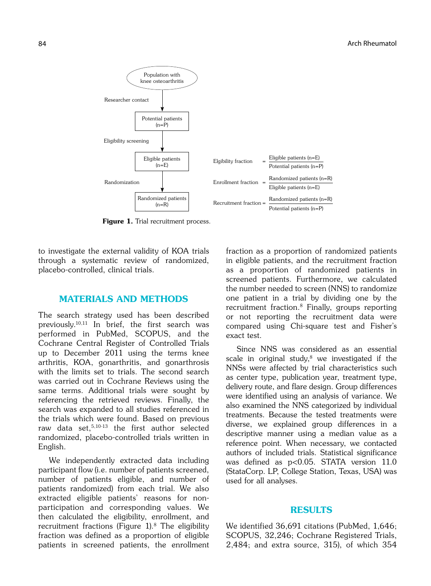

Figure 1. Trial recruitment process.

to investigate the external validity of KOA trials through a systematic review of randomized, placebo-controlled, clinical trials.

## MATERIALS AND METHODS

The search strategy used has been described previously.10,11 In brief, the first search was performed in PubMed, SCOPUS, and the Cochrane Central Register of Controlled Trials up to December 2011 using the terms knee arthritis, KOA, gonarthritis, and gonarthrosis with the limits set to trials. The second search was carried out in Cochrane Reviews using the same terms. Additional trials were sought by referencing the retrieved reviews. Finally, the search was expanded to all studies referenced in the trials which were found. Based on previous raw data set, $5,10-13$  the first author selected randomized, placebo-controlled trials written in English.

We independently extracted data including participant flow (i.e. number of patients screened, number of patients eligible, and number of patients randomized) from each trial. We also extracted eligible patients' reasons for nonparticipation and corresponding values. We then calculated the eligibility, enrollment, and recruitment fractions (Figure  $1$ ).<sup>8</sup> The eligibility fraction was defined as a proportion of eligible patients in screened patients, the enrollment fraction as a proportion of randomized patients in eligible patients, and the recruitment fraction as a proportion of randomized patients in screened patients. Furthermore, we calculated the number needed to screen (NNS) to randomize one patient in a trial by dividing one by the recruitment fraction.8 Finally, groups reporting or not reporting the recruitment data were compared using Chi-square test and Fisher's exact test.

Since NNS was considered as an essential scale in original study, $8$  we investigated if the NNSs were affected by trial characteristics such as center type, publication year, treatment type, delivery route, and flare design. Group differences were identified using an analysis of variance. We also examined the NNS categorized by individual treatments. Because the tested treatments were diverse, we explained group differences in a descriptive manner using a median value as a reference point. When necessary, we contacted authors of included trials. Statistical significance was defined as p<0.05. STATA version 11.0 (StataCorp. LP, College Station, Texas, USA) was used for all analyses.

# RESULTS

We identified 36,691 citations (PubMed, 1,646; SCOPUS, 32,246; Cochrane Registered Trials, 2,484; and extra source, 315), of which 354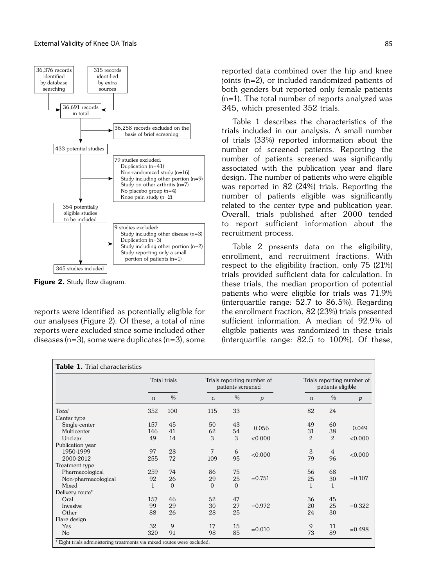

Figure 2. Study flow diagram.

reports were identified as potentially eligible for our analyses (Figure 2). Of these, a total of nine reports were excluded since some included other diseases (n=3), some were duplicates (n=3), some reported data combined over the hip and knee joints (n=2), or included randomized patients of both genders but reported only female patients (n=1). The total number of reports analyzed was 345, which presented 352 trials.

Table 1 describes the characteristics of the trials included in our analysis. A small number of trials (33%) reported information about the number of screened patients. Reporting the number of patients screened was significantly associated with the publication year and flare design. The number of patients who were eligible was reported in 82 (24%) trials. Reporting the number of patients eligible was significantly related to the center type and publication year. Overall, trials published after 2000 tended to report sufficient information about the recruitment process.

Table 2 presents data on the eligibility, enrollment, and recruitment fractions. With respect to the eligibility fraction, only 75 (21%) trials provided sufficient data for calculation. In these trials, the median proportion of potential patients who were eligible for trials was 71.9% (interquartile range: 52.7 to 86.5%). Regarding the enrollment fraction, 82 (23%) trials presented sufficient information. A median of 92.9% of eligible patients was randomized in these trials (interquartile range: 82.5 to 100%). Of these,

| <b>Table 1.</b> Trial characteristics                                 |              |          |                                                 |          |                                                 |                |                |           |
|-----------------------------------------------------------------------|--------------|----------|-------------------------------------------------|----------|-------------------------------------------------|----------------|----------------|-----------|
|                                                                       | Total trials |          | Trials reporting number of<br>patients screened |          | Trials reporting number of<br>patients eligible |                |                |           |
|                                                                       | $\mathsf{n}$ | $\%$     | $\mathsf{n}$                                    | $\%$     | p                                               | n              | $\frac{0}{0}$  | p         |
| Total                                                                 | 352          | 100      | 115                                             | 33       |                                                 | 82             | 24             |           |
| Center type                                                           |              |          |                                                 |          |                                                 |                |                |           |
| Single-center                                                         | 157          | 45       | 50                                              | 43       |                                                 | 49             | 60             |           |
| Multicenter                                                           | 146          | 41       | 62                                              | 54       | 0.056                                           | 31             | 38             | 0.049     |
| Unclear                                                               | 49           | 14       | 3                                               | 3        | < 0.000                                         | $\overline{2}$ | $\overline{2}$ | < 0.000   |
| Publication year                                                      |              |          |                                                 |          |                                                 |                |                |           |
| 1950-1999                                                             | 97           | 28       | 7                                               | 6        | < 0.000                                         | 3              | 4              |           |
| 2000-2012                                                             | 255          | 72       | 109                                             | 95       |                                                 | 79             | 96             | < 0.000   |
| Treatment type                                                        |              |          |                                                 |          |                                                 |                |                |           |
| Pharmacological                                                       | 259          | 74       | 86                                              | 75       |                                                 | 56             | 68             |           |
| Non-pharmacological                                                   | 92           | 26       | 29                                              | 25       | $= 0.751$                                       | 25             | 30             | $= 0.107$ |
| Mixed                                                                 | 1            | $\Omega$ | $\Omega$                                        | $\Omega$ |                                                 | $\mathbf{1}$   | 1              |           |
| Delivery route*                                                       |              |          |                                                 |          |                                                 |                |                |           |
| Oral                                                                  | 157          | 46       | 52                                              | 47       |                                                 | 36             | 45             |           |
| Invasive                                                              | 99           | 29       | 30                                              | 27       | $= 0.972$                                       | 20             | 25             | $= 0.322$ |
| Other                                                                 | 88           | 26       | 28                                              | 25       |                                                 | 24             | 30             |           |
| Flare design                                                          |              |          |                                                 |          |                                                 |                |                |           |
| Yes                                                                   | 32           | 9        | 17                                              | 15       | $= 0.010$                                       | 9              | 11             |           |
| No                                                                    | 320          | 91       | 98                                              | 85       |                                                 | 73             | 89             | $= 0.498$ |
| Eight trials administering treatments via mixed routes were excluded. |              |          |                                                 |          |                                                 |                |                |           |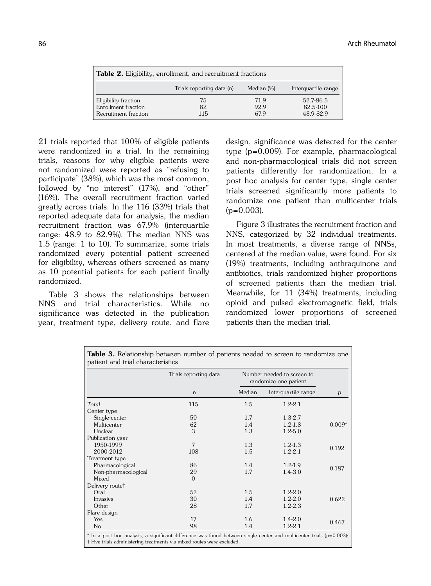| <b>Table 2.</b> Eligibility, enrollment, and recruitment fractions |                           |            |                     |  |  |
|--------------------------------------------------------------------|---------------------------|------------|---------------------|--|--|
|                                                                    | Trials reporting data (n) | Median (%) | Interguartile range |  |  |
| Eligibility fraction                                               | 75                        | 71.9       | 52.7-86.5           |  |  |
| Enrollment fraction                                                | 82                        | 92.9       | 82.5-100            |  |  |
| Recruitment fraction                                               | 115                       | 67.9       | 48.9-82.9           |  |  |

21 trials reported that 100% of eligible patients were randomized in a trial. In the remaining trials, reasons for why eligible patients were not randomized were reported as "refusing to participate" (38%), which was the most common, followed by "no interest" (17%), and "other" (16%). The overall recruitment fraction varied greatly across trials. In the 116 (33%) trials that reported adequate data for analysis, the median recruitment fraction was 67.9% (interquartile range: 48.9 to 82.9%). The median NNS was 1.5 (range: 1 to 10). To summarize, some trials randomized every potential patient screened for eligibility, whereas others screened as many as 10 potential patients for each patient finally randomized.

Table 3 shows the relationships between NNS and trial characteristics. While no significance was detected in the publication year, treatment type, delivery route, and flare design, significance was detected for the center type (p=0.009). For example, pharmacological and non-pharmacological trials did not screen patients differently for randomization. In a post hoc analysis for center type, single center trials screened significantly more patients to randomize one patient than multicenter trials  $(p=0.003)$ .

Figure 3 illustrates the recruitment fraction and NNS, categorized by 32 individual treatments. In most treatments, a diverse range of NNSs, centered at the median value, were found. For six (19%) treatments, including anthraquinone and antibiotics, trials randomized higher proportions of screened patients than the median trial. Meanwhile, for 11 (34%) treatments, including opioid and pulsed electromagnetic field, trials randomized lower proportions of screened patients than the median trial.

|                             | Trials reporting data | Number needed to screen to<br>randomize one patient |                     |          |
|-----------------------------|-----------------------|-----------------------------------------------------|---------------------|----------|
|                             | n                     | Median                                              | Interquartile range | p        |
| Total                       | 115                   | 1.5                                                 | $1.2 - 2.1$         |          |
| Center type                 |                       |                                                     |                     |          |
| Single-center               | 50                    | 1.7                                                 | $1.3 - 2.7$         |          |
| Multicenter                 | 62                    | 1.4                                                 | $1.2 - 1.8$         | $0.009*$ |
| Unclear                     | 3                     | 1.3                                                 | $1.2 - 5.0$         |          |
| Publication year            |                       |                                                     |                     |          |
| 1950-1999                   | 7                     | 1.3                                                 | $1.2 - 1.3$         |          |
| 2000-2012                   | 108                   | 1.5                                                 | $1.2 - 2.1$         | 0.192    |
| Treatment type              |                       |                                                     |                     |          |
| Pharmacological             | 86                    | 1.4                                                 | $1.2 - 1.9$         |          |
| Non-pharmacological         | 29                    | 1.7                                                 | $1.4 - 3.0$         | 0.187    |
| Mixed                       | $\Omega$              |                                                     |                     |          |
| Delivery route <sup>†</sup> |                       |                                                     |                     |          |
| Oral                        | 52                    | 1.5                                                 | $1.2 - 2.0$         |          |
| Invasive                    | 30                    | 1.4                                                 | $1.2 - 2.0$         | 0.622    |
| Other                       | 28                    | 1.7                                                 | $1.2 - 2.3$         |          |
| Flare design                |                       |                                                     |                     |          |
| Yes                         | 17                    | 1.6                                                 | $1.4 - 2.0$         |          |
| No                          | 98                    | 1.4                                                 | $1.2 - 2.1$         | 0.467    |

Table 3. Relationship between number of patients needed to screen to randomize one patient and trial characteristics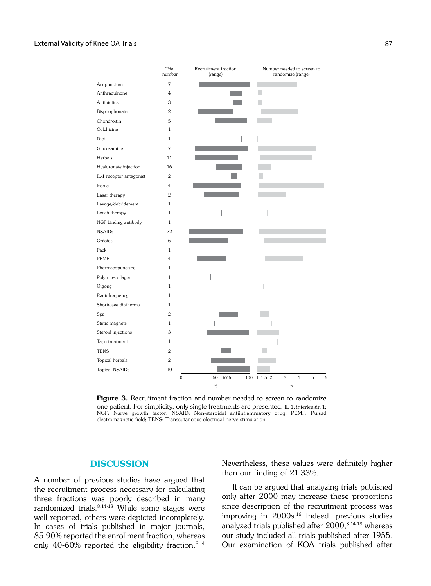## External Validity of Knee OA Trials 87



**Figure 3.** Recruitment fraction and number needed to screen to randomize one patient. For simplicity, only single treatments are presented. IL-1, interleukin-1; NGF: Nerve growth factor; NSAID: Non-steroidal antiinflammatory drug; PEMF: Pulsed electromagnetic field; TENS: Transcutaneous electrical nerve stimulation.

## **DISCUSSION**

A number of previous studies have argued that the recruitment process necessary for calculating three fractions was poorly described in many randomized trials.8,14-18 While some stages were well reported, others were depicted incompletely. In cases of trials published in major journals, 85-90% reported the enrollment fraction, whereas only 40-60% reported the eligibility fraction.<sup>8,14</sup> Nevertheless, these values were definitely higher than our finding of 21-33%.

It can be argued that analyzing trials published only after 2000 may increase these proportions since description of the recruitment process was improving in 2000s.16 Indeed, previous studies analyzed trials published after 2000,<sup>8,14-18</sup> whereas our study included all trials published after 1955. Our examination of KOA trials published after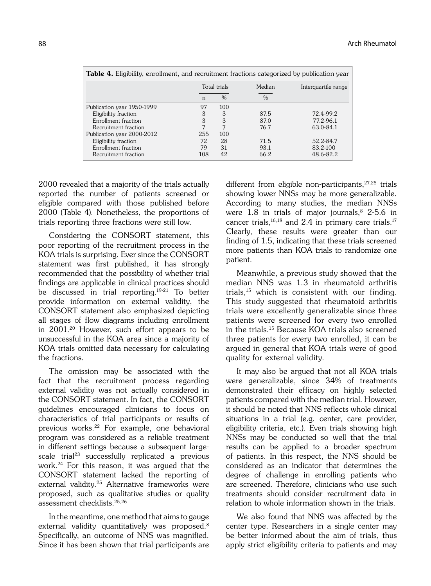| <b>Table 4.</b> Eligibility, enrollment, and recruitment fractions categorized by publication year |     |               |               |                     |  |
|----------------------------------------------------------------------------------------------------|-----|---------------|---------------|---------------------|--|
|                                                                                                    |     | Total trials  | Median        | Interguartile range |  |
|                                                                                                    | n   | $\frac{0}{0}$ | $\frac{0}{0}$ |                     |  |
| Publication year 1950-1999                                                                         | 97  | 100           |               |                     |  |
| Eligibility fraction                                                                               | 3   | 3             | 87.5          | 72.4-99.2           |  |
| Enrollment fraction                                                                                | 3   | 3             | 87.0          | 77.2-96.1           |  |
| Recruitment fraction                                                                               |     |               | 76.7          | 63.0-84.1           |  |
| Publication year 2000-2012                                                                         | 255 | 100           |               |                     |  |
| Eligibility fraction                                                                               | 72  | 28            | 71.5          | 52.2-84.7           |  |
| Enrollment fraction                                                                                | 79  | 31            | 93.1          | 83.2-100            |  |
| Recruitment fraction                                                                               | 108 | 42            | 66.2          | 48.6-82.2           |  |

2000 revealed that a majority of the trials actually reported the number of patients screened or eligible compared with those published before 2000 (Table 4). Nonetheless, the proportions of trials reporting three fractions were still low.

Considering the CONSORT statement, this poor reporting of the recruitment process in the KOA trials is surprising. Ever since the CONSORT statement was first published, it has strongly recommended that the possibility of whether trial findings are applicable in clinical practices should be discussed in trial reporting.19-21 To better provide information on external validity, the CONSORT statement also emphasized depicting all stages of flow diagrams including enrollment in 2001.20 However, such effort appears to be unsuccessful in the KOA area since a majority of KOA trials omitted data necessary for calculating the fractions.

The omission may be associated with the fact that the recruitment process regarding external validity was not actually considered in the CONSORT statement. In fact, the CONSORT guidelines encouraged clinicians to focus on characteristics of trial participants or results of previous works.22 For example, one behavioral program was considered as a reliable treatment in different settings because a subsequent largescale trial<sup>23</sup> successfully replicated a previous work.24 For this reason, it was argued that the CONSORT statement lacked the reporting of external validity.<sup>25</sup> Alternative frameworks were proposed, such as qualitative studies or quality assessment checklists.25,26

In the meantime, one method that aims to gauge external validity quantitatively was proposed.<sup>8</sup> Specifically, an outcome of NNS was magnified. Since it has been shown that trial participants are different from eligible non-participants,  $27,28$  trials showing lower NNSs may be more generalizable. According to many studies, the median NNSs were  $1.8$  in trials of major journals,  $8$  2-5.6 in cancer trials, $16,18$  and 2.4 in primary care trials.<sup>17</sup> Clearly, these results were greater than our finding of 1.5, indicating that these trials screened more patients than KOA trials to randomize one patient.

Meanwhile, a previous study showed that the median NNS was 1.3 in rheumatoid arthritis trials,15 which is consistent with our finding. This study suggested that rheumatoid arthritis trials were excellently generalizable since three patients were screened for every two enrolled in the trials.15 Because KOA trials also screened three patients for every two enrolled, it can be argued in general that KOA trials were of good quality for external validity.

It may also be argued that not all KOA trials were generalizable, since 34% of treatments demonstrated their efficacy on highly selected patients compared with the median trial. However, it should be noted that NNS reflects whole clinical situations in a trial (e.g. center, care provider, eligibility criteria, etc.). Even trials showing high NNSs may be conducted so well that the trial results can be applied to a broader spectrum of patients. In this respect, the NNS should be considered as an indicator that determines the degree of challenge in enrolling patients who are screened. Therefore, clinicians who use such treatments should consider recruitment data in relation to whole information shown in the trials.

We also found that NNS was affected by the center type. Researchers in a single center may be better informed about the aim of trials, thus apply strict eligibility criteria to patients and may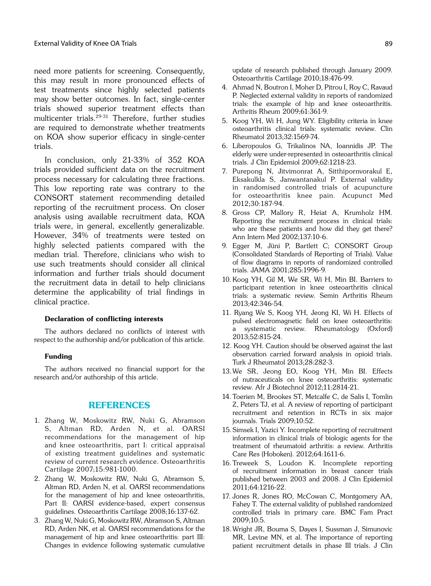need more patients for screening. Consequently, this may result in more pronounced effects of test treatments since highly selected patients may show better outcomes. In fact, single-center trials showed superior treatment effects than multicenter trials.29-31 Therefore, further studies are required to demonstrate whether treatments on KOA show superior efficacy in single-center trials.

In conclusion, only 21-33% of 352 KOA trials provided sufficient data on the recruitment process necessary for calculating three fractions. This low reporting rate was contrary to the CONSORT statement recommending detailed reporting of the recruitment process. On closer analysis using available recruitment data, KOA trials were, in general, excellently generalizable. However, 34% of treatments were tested on highly selected patients compared with the median trial. Therefore, clinicians who wish to use such treatments should consider all clinical information and further trials should document the recruitment data in detail to help clinicians determine the applicability of trial findings in clinical practice.

#### Declaration of conflicting interests

The authors declared no conflicts of interest with respect to the authorship and/or publication of this article.

#### Funding

The authors received no financial support for the research and/or authorship of this article.

## REFERENCES

- 1. Zhang W, Moskowitz RW, Nuki G, Abramson S, Altman RD, Arden N, et al. OARSI recommendations for the management of hip and knee osteoarthritis, part I: critical appraisal of existing treatment guidelines and systematic review of current research evidence. Osteoarthritis Cartilage 2007;15:981-1000.
- 2. Zhang W, Moskowitz RW, Nuki G, Abramson S, Altman RD, Arden N, et al. OARSI recommendations for the management of hip and knee osteoarthritis, Part II: OARSI evidence-based, expert consensus guidelines. Osteoarthritis Cartilage 2008;16:137-62.
- 3. Zhang W, Nuki G, Moskowitz RW, Abramson S, Altman RD, Arden NK, et al. OARSI recommendations for the management of hip and knee osteoarthritis: part III: Changes in evidence following systematic cumulative

update of research published through January 2009. Osteoarthritis Cartilage 2010;18:476-99.

- 4. Ahmad N, Boutron I, Moher D, Pitrou I, Roy C, Ravaud P. Neglected external validity in reports of randomized trials: the example of hip and knee osteoarthritis. Arthritis Rheum 2009;61:361-9.
- 5. Koog YH, Wi H, Jung WY. Eligibility criteria in knee osteoarthritis clinical trials: systematic review. Clin Rheumatol 2013;32:1569-74.
- 6. Liberopoulos G, Trikalinos NA, Ioannidis JP. The elderly were under-represented in osteoarthritis clinical trials. J Clin Epidemiol 2009;62:1218-23.
- 7. Purepong N, Jitvimonrat A, Sitthipornvorakul E, Eksakulkla S, Janwantanakul P. External validity in randomised controlled trials of acupuncture for osteoarthritis knee pain. Acupunct Med 2012;30:187-94.
- 8. Gross CP, Mallory R, Heiat A, Krumholz HM. Reporting the recruitment process in clinical trials: who are these patients and how did they get there? Ann Intern Med 2002;137:10-6.
- 9. Egger M, Jüni P, Bartlett C; CONSORT Group (Consolidated Standards of Reporting of Trials). Value of flow diagrams in reports of randomized controlled trials. JAMA 2001;285:1996-9.
- 10. Koog YH, Gil M, We SR, Wi H, Min BI. Barriers to participant retention in knee osteoarthritis clinical trials: a systematic review. Semin Arthritis Rheum 2013;42:346-54.
- 11. Ryang We S, Koog YH, Jeong KI, Wi H. Effects of pulsed electromagnetic field on knee osteoarthritis: a systematic review. Rheumatology (Oxford) 2013;52:815-24.
- 12. Koog YH. Caution should be observed against the last observation carried forward analysis in opioid trials. Turk J Rheumatol 2013;28:282-3.
- 13.We SR, Jeong EO, Koog YH, Min BI. Effects of nutraceuticals on knee osteoarthritis: systematic review. Afr J Biotechnol 2012;11:2814-21.
- 14. Toerien M, Brookes ST, Metcalfe C, de Salis I, Tomlin Z, Peters TJ, et al. A review of reporting of participant recruitment and retention in RCTs in six major journals. Trials 2009;10:52.
- 15.Simsek I, Yazici Y. Incomplete reporting of recruitment information in clinical trials of biologic agents for the treatment of rheumatoid arthritis: a review. Arthritis Care Res (Hoboken). 2012;64:1611-6.
- 16. Treweek S, Loudon K. Incomplete reporting of recruitment information in breast cancer trials published between 2003 and 2008. J Clin Epidemiol 2011;64:1216-22.
- 17. Jones R, Jones RO, McCowan C, Montgomery AA, Fahey T. The external validity of published randomized controlled trials in primary care. BMC Fam Pract 2009;10:5.
- 18.Wright JR, Bouma S, Dayes I, Sussman J, Simunovic MR, Levine MN, et al. The importance of reporting patient recruitment details in phase III trials. J Clin